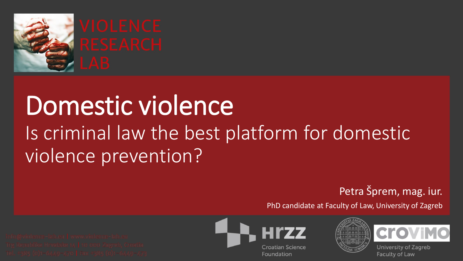

## Domestic violence Is criminal law the best platform for domestic violence prevention?

#### Petra Šprem, mag. iur.

PhD candidate at Faculty of Law, University of Zagreb







**University of Zagreb Faculty of Law**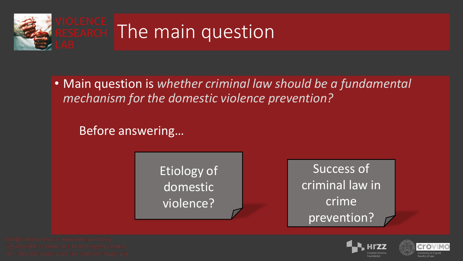

• Main question is *whether criminal law should be a fundamental mechanism for the domestic violence prevention?* 

Before answering…

Etiology of domestic violence?

Success of criminal law in **crime** prevention?

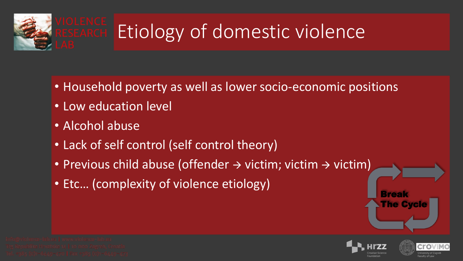

- Household poverty as well as lower socio-economic positions
- Low education level
- Alcohol abuse
- Lack of self control (self control theory)
- Previous child abuse (offender  $\rightarrow$  victim; victim  $\rightarrow$  victim)
- Etc… (complexity of violence etiology)







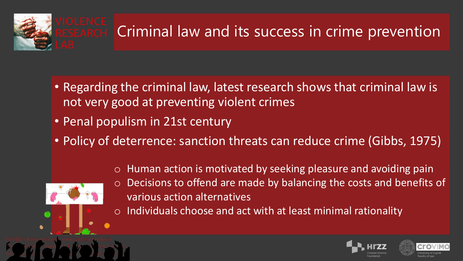

- Regarding the criminal law, latest research shows that criminal law is not very good at preventing violent crimes
- Penal populism in 21st century
- Policy of deterrence: sanction threats can reduce crime (Gibbs, 1975)
	- o Human action is motivated by seeking pleasure and avoiding pain



- o Decisions to offend are made by balancing the costs and benefits of various action alternatives
- o Individuals choose and act with at least minimal rationality



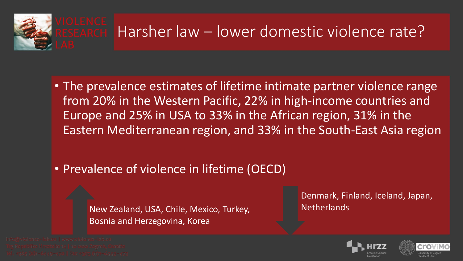

- The prevalence estimates of lifetime intimate partner violence range from 20% in the Western Pacific, 22% in high-income countries and Europe and 25% in USA to 33% in the African region, 31% in the Eastern Mediterranean region, and 33% in the South-East Asia region
- Prevalence of violence in lifetime (OECD)

New Zealand, USA, Chile, Mexico, Turkey, Bosnia and Herzegovina, Korea

Denmark, Finland, Iceland, Japan, **Netherlands** 



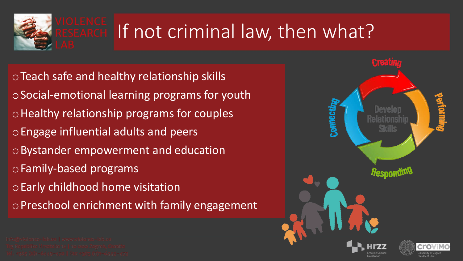

### ESEARCH If not criminal law, then what?

oTeach safe and healthy relationship skills oSocial-emotional learning programs for youth oHealthy relationship programs for couples oEngage influential adults and peers oBystander empowerment and education oFamily-based programs oEarly childhood home visitation oPreschool enrichment with family engagement

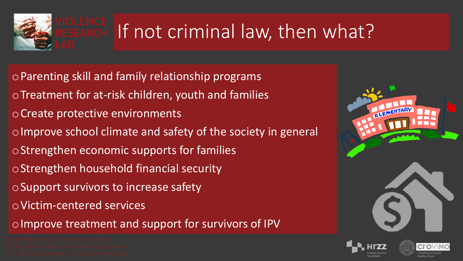

### If not criminal law, then what?

oParenting skill and family relationship programs

- oTreatment for at-risk children, youth and families
- oCreate protective environments
- oImprove school climate and safety of the society in general
- oStrengthen economic supports for families
- oStrengthen household financial security
- oSupport survivors to increase safety
- oVictim-centered services

o Improve treatment and support for survivors of IPV